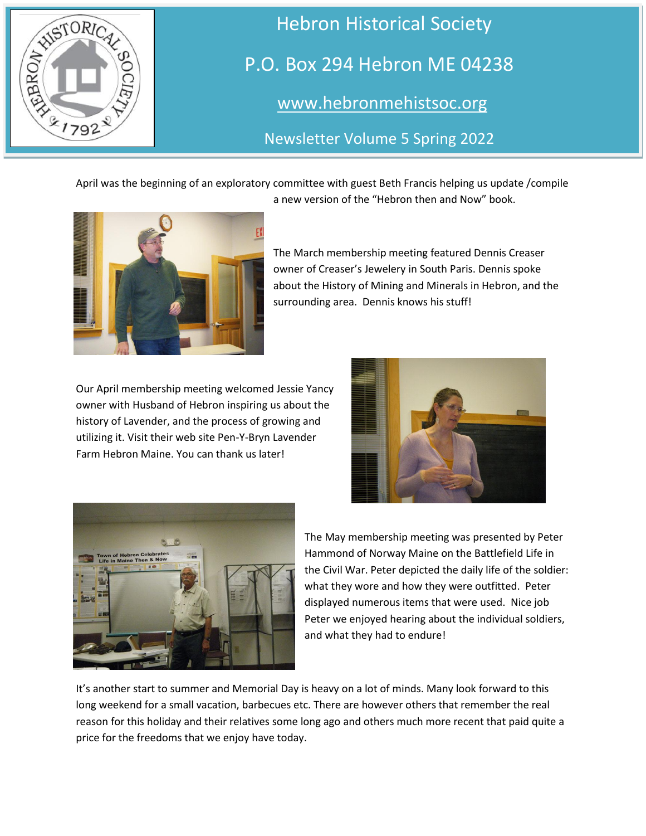

 Hebron Historical Society P.O. Box 294 Hebron ME 04238 [www.hebronmehistsoc.org](file:///C:/Users/Jim/Desktop/www.hebronmehistsoc.org)

Newsletter Volume 5 Spring 2022

April was the beginning of an exploratory committee with guest Beth Francis helping us update /compile a new version of the "Hebron then and Now" book.



The March membership meeting featured Dennis Creaser owner of Creaser's Jewelery in South Paris. Dennis spoke about the History of Mining and Minerals in Hebron, and the surrounding area. Dennis knows his stuff!

Our April membership meeting welcomed Jessie Yancy owner with Husband of Hebron inspiring us about the history of Lavender, and the process of growing and utilizing it. Visit their web site Pen-Y-Bryn Lavender Farm Hebron Maine. You can thank us later!





The May membership meeting was presented by Peter Hammond of Norway Maine on the Battlefield Life in the Civil War. Peter depicted the daily life of the soldier: what they wore and how they were outfitted. Peter displayed numerous items that were used. Nice job Peter we enjoyed hearing about the individual soldiers, and what they had to endure!

It's another start to summer and Memorial Day is heavy on a lot of minds. Many look forward to this long weekend for a small vacation, barbecues etc. There are however others that remember the real reason for this holiday and their relatives some long ago and others much more recent that paid quite a price for the freedoms that we enjoy have today.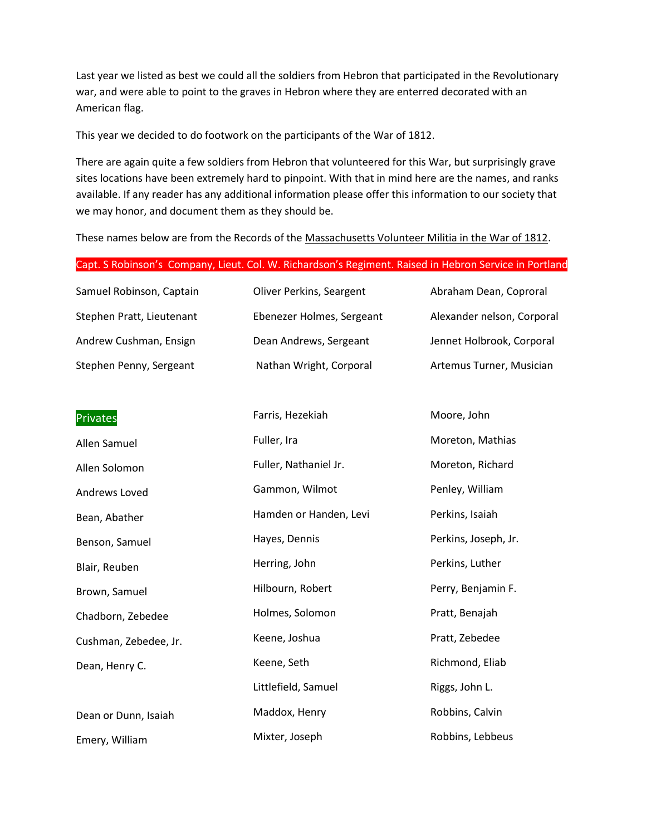Last year we listed as best we could all the soldiers from Hebron that participated in the Revolutionary war, and were able to point to the graves in Hebron where they are enterred decorated with an American flag.

This year we decided to do footwork on the participants of the War of 1812.

There are again quite a few soldiers from Hebron that volunteered for this War, but surprisingly grave sites locations have been extremely hard to pinpoint. With that in mind here are the names, and ranks available. If any reader has any additional information please offer this information to our society that we may honor, and document them as they should be.

These names below are from the Records of the Massachusetts Volunteer Militia in the War of 1812.

#### Capt. S Robinson's Company, Lieut. Col. W. Richardson's Regiment. Raised in Hebron Service in Portland

| Samuel Robinson, Captain  | Oliver Perkins, Seargent  | Abraham Dean, Coproral     |
|---------------------------|---------------------------|----------------------------|
| Stephen Pratt, Lieutenant | Ebenezer Holmes, Sergeant | Alexander nelson, Corporal |
| Andrew Cushman, Ensign    | Dean Andrews, Sergeant    | Jennet Holbrook, Corporal  |
| Stephen Penny, Sergeant   | Nathan Wright, Corporal   | Artemus Turner, Musician   |

| <b>Privates</b>       | Farris, Hezekiah       | Moore, John          |
|-----------------------|------------------------|----------------------|
| Allen Samuel          | Fuller, Ira            | Moreton, Mathias     |
| Allen Solomon         | Fuller, Nathaniel Jr.  | Moreton, Richard     |
| Andrews Loved         | Gammon, Wilmot         | Penley, William      |
| Bean, Abather         | Hamden or Handen, Levi | Perkins, Isaiah      |
| Benson, Samuel        | Hayes, Dennis          | Perkins, Joseph, Jr. |
| Blair, Reuben         | Herring, John          | Perkins, Luther      |
| Brown, Samuel         | Hilbourn, Robert       | Perry, Benjamin F.   |
| Chadborn, Zebedee     | Holmes, Solomon        | Pratt, Benajah       |
| Cushman, Zebedee, Jr. | Keene, Joshua          | Pratt, Zebedee       |
| Dean, Henry C.        | Keene, Seth            | Richmond, Eliab      |
|                       | Littlefield, Samuel    | Riggs, John L.       |
| Dean or Dunn, Isaiah  | Maddox, Henry          | Robbins, Calvin      |
| Emery, William        | Mixter, Joseph         | Robbins, Lebbeus     |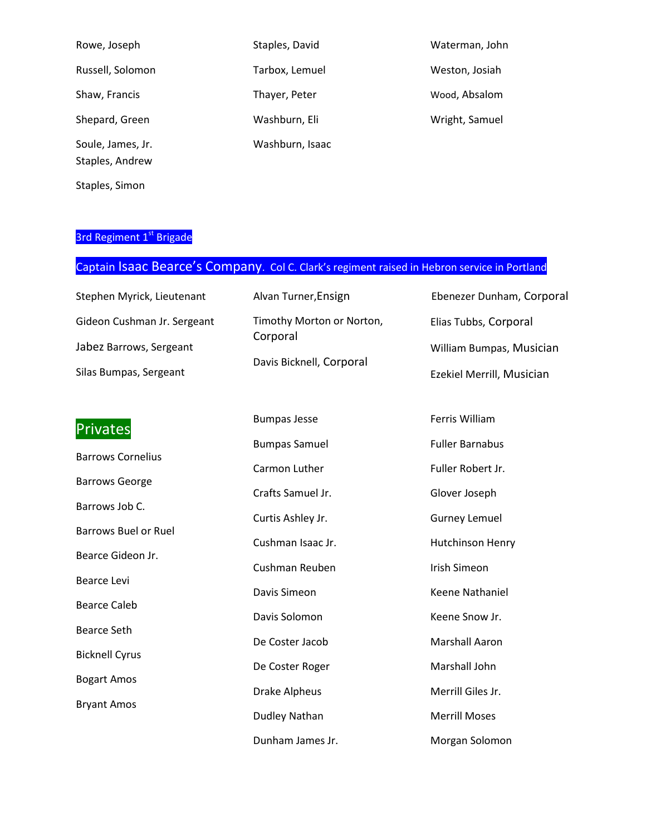| Rowe, Joseph                         | Staples, David  | Waterman, John |
|--------------------------------------|-----------------|----------------|
| Russell, Solomon                     | Tarbox, Lemuel  | Weston, Josiah |
| Shaw, Francis                        | Thayer, Peter   | Wood, Absalom  |
| Shepard, Green                       | Washburn, Eli   | Wright, Samuel |
| Soule, James, Jr.<br>Staples, Andrew | Washburn, Isaac |                |

Staples, Simon

#### 3rd Regiment 1st Brigade

### Captain Isaac Bearce's Company. Col C. Clark's regiment raised in Hebron service in Portland

| Stephen Myrick, Lieutenant  | Alvan Turner, Ensign                 | Ebenezer Dunham, Corporal |
|-----------------------------|--------------------------------------|---------------------------|
| Gideon Cushman Jr. Sergeant | Timothy Morton or Norton,            | Elias Tubbs, Corporal     |
| Jabez Barrows, Sergeant     | Corporal<br>Davis Bicknell, Corporal | William Bumpas, Musician  |
| Silas Bumpas, Sergeant      |                                      | Ezekiel Merrill, Musician |
|                             |                                      |                           |

## **Privates**

Barrows Cornelius Barrows George Barrows Job C. Barrows Buel or Ruel Bearce Gideon Jr. Bearce Levi Bearce Caleb Bearce Seth Bicknell Cyrus Bogart Amos Bryant Amos

Bumpas Jesse

Bumpas Samuel Carmon Luther Crafts Samuel Jr. Curtis Ashley Jr. Cushman Isaac Jr. Cushman Reuben Davis Simeon Davis Solomon De Coster Jacob De Coster Roger Drake Alpheus Dudley Nathan Dunham James Jr. Ferris William Fuller Barnabus Fuller Robert Jr. Glover Joseph Gurney Lemuel Hutchinson Henry Irish Simeon Keene Nathaniel Keene Snow Jr. Marshall Aaron Marshall John Merrill Giles Jr. Merrill Moses Morgan Solomon